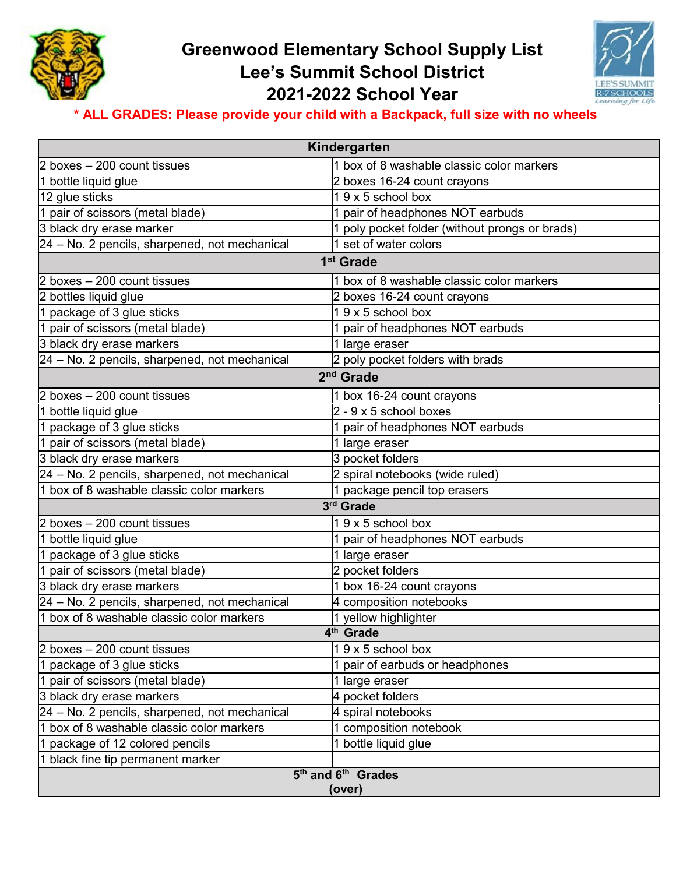

## **Greenwood Elementary School Supply List Lee's Summit School District 2021-2022 School Year**



## **\* ALL GRADES: Please provide your child with a Backpack, full size with no wheels**

| Kindergarten                                  |                                                |
|-----------------------------------------------|------------------------------------------------|
| 2 boxes - 200 count tissues                   | 1 box of 8 washable classic color markers      |
| 1 bottle liquid glue                          | 2 boxes 16-24 count crayons                    |
| 12 glue sticks                                | 19 x 5 school box                              |
| 1 pair of scissors (metal blade)              | 1 pair of headphones NOT earbuds               |
| 3 black dry erase marker                      | 1 poly pocket folder (without prongs or brads) |
| 24 - No. 2 pencils, sharpened, not mechanical | 1 set of water colors                          |
| 1 <sup>st</sup> Grade                         |                                                |
| 2 boxes - 200 count tissues                   | 1 box of 8 washable classic color markers      |
| 2 bottles liquid glue                         | 2 boxes 16-24 count crayons                    |
| 1 package of 3 glue sticks                    | 19 x 5 school box                              |
| 1 pair of scissors (metal blade)              | 1 pair of headphones NOT earbuds               |
| 3 black dry erase markers                     | 1 large eraser                                 |
| 24 - No. 2 pencils, sharpened, not mechanical | 2 poly pocket folders with brads               |
| 2 <sup>nd</sup> Grade                         |                                                |
| 2 boxes - 200 count tissues                   | 1 box 16-24 count crayons                      |
| 1 bottle liquid glue                          | $2 - 9 \times 5$ school boxes                  |
| 1 package of 3 glue sticks                    | 1 pair of headphones NOT earbuds               |
| 1 pair of scissors (metal blade)              | 1 large eraser                                 |
| 3 black dry erase markers                     | 3 pocket folders                               |
| 24 - No. 2 pencils, sharpened, not mechanical | 2 spiral notebooks (wide ruled)                |
| 1 box of 8 washable classic color markers     | 1 package pencil top erasers                   |
| 3rd Grade                                     |                                                |
| 2 boxes - 200 count tissues                   | 19 x 5 school box                              |
| 1 bottle liquid glue                          | 1 pair of headphones NOT earbuds               |
| 1 package of 3 glue sticks                    | 1 large eraser                                 |
| 1 pair of scissors (metal blade)              | 2 pocket folders                               |
| 3 black dry erase markers                     | 1 box 16-24 count crayons                      |
| 24 - No. 2 pencils, sharpened, not mechanical | 4 composition notebooks                        |
| 1 box of 8 washable classic color markers     | 1 yellow highlighter                           |
| 4 <sup>th</sup> Grade                         |                                                |
| 2 boxes - 200 count tissues                   | 19 x 5 school box                              |
| 1 package of 3 glue sticks                    | 1 pair of earbuds or headphones                |
| 1 pair of scissors (metal blade)              | 1 large eraser                                 |
| 3 black dry erase markers                     | 4 pocket folders                               |
| 24 - No. 2 pencils, sharpened, not mechanical | 4 spiral notebooks                             |
| 1 box of 8 washable classic color markers     | 1 composition notebook                         |
| 1 package of 12 colored pencils               | 1 bottle liquid glue                           |
| 1 black fine tip permanent marker             |                                                |
| 5 <sup>th</sup> and 6 <sup>th</sup> Grades    |                                                |
| (over)                                        |                                                |